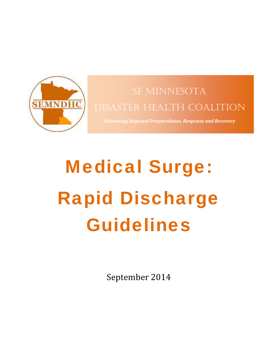

## SE MINNESOTA DISASTER HEALTH COALITION

*Enhancing Regional Preparedness, Response and Recovery*

# Medical Surge: Rapid Discharge Guidelines

September 2014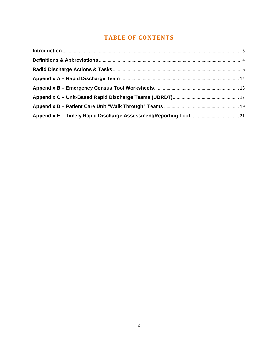### **TABLE OF CONTENTS**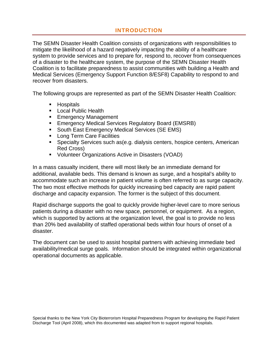#### **INTRODUCTION**

The SEMN Disaster Health Coalition consists of organizations with responsibilities to mitigate the likelihood of a hazard negatively impacting the ability of a healthcare system to provide services and to prepare for, respond to, recover from consequences of a disaster to the healthcare system, the purpose of the SEMN Disaster Health Coalition is to facilitate preparedness to assist communities with building a Health and Medical Services (Emergency Support Function 8/ESF8) Capability to respond to and recover from disasters.

The following groups are represented as part of the SEMN Disaster Health Coalition:

- **Hospitals**
- **Local Public Health**
- **Emergency Management**
- **Emergency Medical Services Regulatory Board (EMSRB)**
- **South East Emergency Medical Services (SE EMS)**
- **Long Term Care Facilities**
- **Specialty Services such as (e.g. dialysis centers, hospice centers, American** Red Cross)
- Volunteer Organizations Active in Disasters (VOAD)

In a mass casualty incident, there will most likely be an immediate demand for additional, available beds. This demand is known as surge, and a hospital's ability to accommodate such an increase in patient volume is often referred to as surge capacity. The two most effective methods for quickly increasing bed capacity are rapid patient discharge and capacity expansion. The former is the subject of this document.

Rapid discharge supports the goal to quickly provide higher-level care to more serious patients during a disaster with no new space, personnel, or equipment. As a region, which is supported by actions at the organization level, the goal is to provide no less than 20% bed availability of staffed operational beds within four hours of onset of a disaster.

The document can be used to assist hospital partners with achieving immediate bed availability/medical surge goals. Information should be integrated within organizational operational documents as applicable.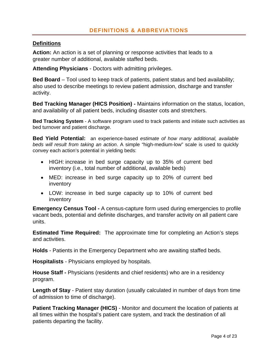#### **Definitions**

**Action:** An action is a set of planning or response activities that leads to a greater number of additional, available staffed beds.

**Attending Physicians** - Doctors with admitting privileges.

**Bed Board** – Tool used to keep track of patients, patient status and bed availability; also used to describe meetings to review patient admission, discharge and transfer activity.

**Bed Tracking Manager (HICS Position) -** Maintains information on the status, location, and availability of all patient beds, including disaster cots and stretchers.

**Bed Tracking System** - A software program used to track patients and initiate such activities as bed turnover and patient discharge.

**Bed Yield Potential:** an experience-based *estimate of how many additional, available beds will result from taking an action*. A simple "high-medium-low" scale is used to quickly convey each action's potential in yielding beds:

- HIGH: increase in bed surge capacity up to 35% of current bed inventory (i.e., total number of additional, available beds)
- MED: increase in bed surge capacity up to 20% of current bed inventory
- LOW: increase in bed surge capacity up to 10% of current bed inventory

**Emergency Census Tool -** A census-capture form used during emergencies to profile vacant beds, potential and definite discharges, and transfer activity on all patient care units.

**Estimated Time Required:** The approximate time for completing an Action's steps and activities.

**Holds** - Patients in the Emergency Department who are awaiting staffed beds.

**Hospitalists** - Physicians employed by hospitals.

**House Staff -** Physicians (residents and chief residents) who are in a residency program.

**Length of Stay** - Patient stay duration (usually calculated in number of days from time of admission to time of discharge).

**Patient Tracking Manager (HICS)** - Monitor and document the location of patients at all times within the hospital's patient care system, and track the destination of all patients departing the facility.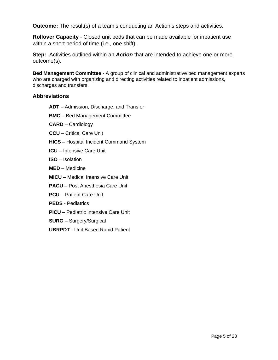**Outcome:** The result(s) of a team's conducting an Action's steps and activities.

**Rollover Capacity** - Closed unit beds that can be made available for inpatient use within a short period of time (i.e., one shift).

**Step:** Activities outlined within an *Action* that are intended to achieve one or more outcome(s).

**Bed Management Committee** - A group of clinical and administrative bed management experts who are charged with organizing and directing activities related to inpatient admissions, discharges and transfers.

#### **Abbreviations**

- **ADT** Admission, Discharge, and Transfer
- **BMC** Bed Management Committee
- **CARD** Cardiology
- **CCU**  Critical Care Unit
- **HICS** Hospital Incident Command System
- **ICU**  Intensive Care Unit
- **ISO** Isolation
- **MED** Medicine
- **MICU** Medical Intensive Care Unit
- **PACU** Post Anesthesia Care Unit
- **PCU** Patient Care Unit
- **PEDS**  Pediatrics
- **PICU** Pediatric Intensive Care Unit
- **SURG**  Surgery/Surgical
- **UBRPDT** Unit Based Rapid Patient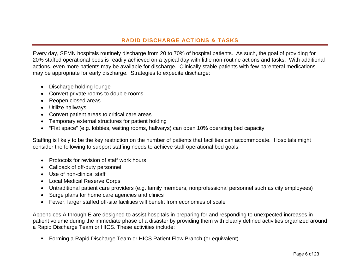#### **RADID DISCHARGE ACTIONS & TASKS**

Every day, SEMN hospitals routinely discharge from 20 to 70% of hospital patients. As such, the goal of providing for 20% staffed operational beds is readily achieved on a typical day with little non-routine actions and tasks. With additional actions, even more patients may be available for discharge. Clinically stable patients with few parenteral medications may be appropriate for early discharge. Strategies to expedite discharge:

- Discharge holding lounge
- Convert private rooms to double rooms
- Reopen closed areas
- Utilize hallways
- Convert patient areas to critical care areas
- Temporary external structures for patient holding
- "Flat space" (e.g. lobbies, waiting rooms, hallways) can open 10% operating bed capacity

Staffing is likely to be the key restriction on the number of patients that facilities can accommodate. Hospitals might consider the following to support staffing needs to achieve staff operational bed goals:

- Protocols for revision of staff work hours
- Callback of off-duty personnel
- Use of non-clinical staff
- Local Medical Reserve Corps
- Untraditional patient care providers (e.g. family members, nonprofessional personnel such as city employees)
- Surge plans for home care agencies and clinics
- Fewer, larger staffed off-site facilities will benefit from economies of scale

Appendices A through E are designed to assist hospitals in preparing for and responding to unexpected increases in patient volume during the immediate phase of a disaster by providing them with clearly defined activities organized around a Rapid Discharge Team or HICS. These activities include:

Forming a Rapid Discharge Team or HICS Patient Flow Branch (or equivalent)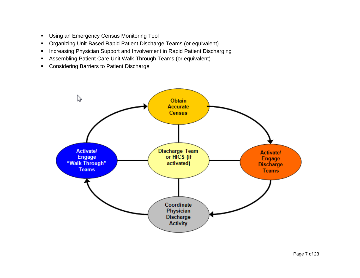- **Using an Emergency Census Monitoring Tool**
- Organizing Unit-Based Rapid Patient Discharge Teams (or equivalent)
- **Increasing Physician Support and Involvement in Rapid Patient Discharging**
- Assembling Patient Care Unit Walk-Through Teams (or equivalent)
- **Considering Barriers to Patient Discharge**

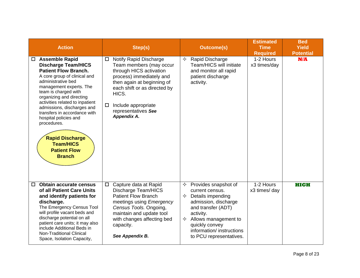| <b>Action</b>                                                                                                                                                                                                                                                                                                                                                                                                                                                    | Step(s)                                                                                                                                                                                                                                                                   | <b>Outcome(s)</b>                                                                                                                                                                                                                                    | <b>Estimated</b><br><b>Time</b><br><b>Required</b> | <b>Bed</b><br><b>Yield</b><br><b>Potential</b> |
|------------------------------------------------------------------------------------------------------------------------------------------------------------------------------------------------------------------------------------------------------------------------------------------------------------------------------------------------------------------------------------------------------------------------------------------------------------------|---------------------------------------------------------------------------------------------------------------------------------------------------------------------------------------------------------------------------------------------------------------------------|------------------------------------------------------------------------------------------------------------------------------------------------------------------------------------------------------------------------------------------------------|----------------------------------------------------|------------------------------------------------|
| <b>Assemble Rapid</b><br>$\Box$<br><b>Discharge Team/HICS</b><br><b>Patient Flow Branch.</b><br>A core group of clinical and<br>administrative bed<br>management experts. The<br>team is charged with<br>organizing and directing<br>activities related to inpatient<br>admissions, discharges and<br>transfers in accordance with<br>hospital policies and<br>procedures.<br><b>Rapid Discharge</b><br><b>Team/HICS</b><br><b>Patient Flow</b><br><b>Branch</b> | <b>Notify Rapid Discharge</b><br>$\Box$<br>Team members (may occur<br>through HICS activation<br>process) immediately and<br>then again at beginning of<br>each shift or as directed by<br>HICS.<br>Include appropriate<br>□<br>representatives See<br><b>Appendix A.</b> | Rapid Discharge<br>✧<br><b>Team/HICS will initiate</b><br>and monitor all rapid<br>patient discharge<br>activity.                                                                                                                                    | 1-2 Hours<br>x3 times/day                          | N/A                                            |
| <b>Obtain accurate census</b><br>0<br>of all Patient Care Units<br>and identify patients for<br>discharge.<br>The Emergency Census Tool<br>will profile vacant beds and<br>discharge potential on all<br>patient care units; it may also<br>include Additional Beds in<br><b>Non-Traditional Clinical</b><br>Space, Isolation Capacity,                                                                                                                          | □ Capture data at Rapid<br>Discharge Team/HICS<br><b>Patient Flow Branch</b><br>meetings using Emergency<br>Census Tools. Ongoing,<br>maintain and update tool<br>with changes affecting bed<br>capacity.<br>See Appendix B.                                              | Provides snapshot of<br>✧<br>current census.<br>$\Diamond$ Details impending<br>admission, discharge<br>and transfer (ADT)<br>activity.<br>$\Diamond$ Allows management to<br>quickly convey<br>information/ instructions<br>to PCU representatives. | 1-2 Hours<br>x3 times/ day                         | <b>HIGH</b>                                    |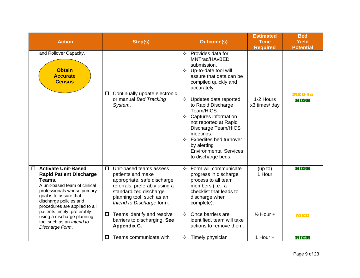| <b>Action</b>                                                                                                                                                                                                                                                                                                                                 | Step(s)                                                                                                                                                                                                                                                                                           | <b>Outcome(s)</b>                                                                                                                                                                                                                                                                                                                                                                                                              | <b>Estimated</b><br><b>Time</b><br><b>Required</b> | <b>Bed</b><br><b>Yield</b><br><b>Potential</b> |
|-----------------------------------------------------------------------------------------------------------------------------------------------------------------------------------------------------------------------------------------------------------------------------------------------------------------------------------------------|---------------------------------------------------------------------------------------------------------------------------------------------------------------------------------------------------------------------------------------------------------------------------------------------------|--------------------------------------------------------------------------------------------------------------------------------------------------------------------------------------------------------------------------------------------------------------------------------------------------------------------------------------------------------------------------------------------------------------------------------|----------------------------------------------------|------------------------------------------------|
| and Rollover Capacity.<br><b>Obtain</b><br><b>Accurate</b><br><b>Census</b>                                                                                                                                                                                                                                                                   | Continually update electronic<br>$\Box$<br>or manual Bed Tracking<br>System.                                                                                                                                                                                                                      | Provides data for<br>✧<br>MNTrac/HAvBED<br>submission.<br>$\Diamond$ Up-to-date tool will<br>assure that data can be<br>compiled quickly and<br>accurately.<br>Updates data reported<br>✧<br>to Rapid Discharge<br>Team/HICS.<br>Captures information<br>✧<br>not reported at Rapid<br>Discharge Team/HICS<br>meetings.<br><b>Expedites bed turnover</b><br>by alerting<br><b>Environmental Services</b><br>to discharge beds. | 1-2 Hours<br>x3 times/ day                         | MED to<br>HIGH                                 |
| <b>Activate Unit-Based</b><br>0<br><b>Rapid Patient Discharge</b><br>Teams.<br>A unit-based team of clinical<br>professionals whose primary<br>goal is to assure that<br>discharge policies and<br>procedures are applied to all<br>patients timely, preferably<br>using a discharge planning<br>tool such as an Intend to<br>Discharge Form. | Unit-based teams assess<br>$\Box$<br>patients and make<br>appropriate, safe discharge<br>referrals, preferably using a<br>standardized discharge<br>planning tool, such as an<br>Intend to Discharge form.<br>Teams identify and resolve<br>$\Box$<br>barriers to discharging. See<br>Appendix C. | Form will communicate<br>✧<br>progress in discharge<br>process to all team<br>members (i.e., a<br>checklist that leads to<br>discharge when<br>complete).<br>Once barriers are<br>✧<br>identified, team will take<br>actions to remove them.                                                                                                                                                                                   | (up to)<br>1 Hour<br>$\frac{1}{2}$ Hour +          | <b>HIGH</b><br><b>MED</b>                      |
|                                                                                                                                                                                                                                                                                                                                               | Teams communicate with<br>□                                                                                                                                                                                                                                                                       | Timely physician<br>✧                                                                                                                                                                                                                                                                                                                                                                                                          | 1 Hour $+$                                         | <b>HIGH</b>                                    |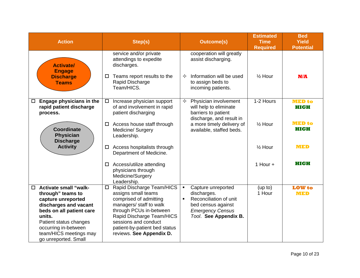| <b>Action</b>                                                                                                                                                                                                                                        | Step(s)                                                                                                                                                                                                                                                      | <b>Outcome(s)</b>                                                                                                                                                         | <b>Estimated</b><br><b>Time</b><br><b>Required</b> | <b>Bed</b><br><b>Yield</b><br><b>Potential</b> |
|------------------------------------------------------------------------------------------------------------------------------------------------------------------------------------------------------------------------------------------------------|--------------------------------------------------------------------------------------------------------------------------------------------------------------------------------------------------------------------------------------------------------------|---------------------------------------------------------------------------------------------------------------------------------------------------------------------------|----------------------------------------------------|------------------------------------------------|
| <b>Activate/</b><br><b>Engage</b><br><b>Discharge</b><br><b>Teams</b>                                                                                                                                                                                | service and/or private<br>attendings to expedite<br>discharges.<br>Teams report results to the<br>$\Box$<br>Rapid Discharge<br>Team/HICS.                                                                                                                    | cooperation will greatly<br>assist discharging.<br>Information will be used<br>✧<br>to assign beds to<br>incoming patients.                                               | $\frac{1}{2}$ Hour                                 | N/A                                            |
| Engage physicians in the<br>$\Box$<br>rapid patient discharge<br>process.                                                                                                                                                                            | Increase physician support<br>$\Box$<br>of and involvement in rapid<br>patient discharging                                                                                                                                                                   | Physician involvement<br>✧<br>will help to eliminate<br>barriers to patient<br>discharge, and result in                                                                   | 1-2 Hours                                          | <b>MED</b> to<br><b>HIGH</b>                   |
| <b>Coordinate</b><br><b>Physician</b><br><b>Discharge</b>                                                                                                                                                                                            | Access house staff through<br>$\Box$<br>Medicine/ Surgery<br>Leadership.                                                                                                                                                                                     | a more timely delivery of<br>available, staffed beds.                                                                                                                     | $\frac{1}{2}$ Hour                                 | <b>MED to</b><br><b>HIGH</b>                   |
| <b>Activity</b>                                                                                                                                                                                                                                      | Access hospitalists through<br>$\Box$<br>Department of Medicine.                                                                                                                                                                                             |                                                                                                                                                                           | $\frac{1}{2}$ Hour                                 | <b>MED</b>                                     |
|                                                                                                                                                                                                                                                      | Access/utilize attending<br>$\Box$<br>physicians through<br>Medicine/Surgery<br>Leadership.                                                                                                                                                                  |                                                                                                                                                                           | 1 Hour $+$                                         | <b>HIGH</b>                                    |
| <b>Activate small "walk-</b><br>$\Box$<br>through" teams to<br>capture unreported<br>discharges and vacant<br>beds on all patient care<br>units.<br>Patient status changes<br>occurring in-between<br>team/HICS meetings may<br>go unreported. Small | Rapid Discharge Team/HICS<br>$\Box$<br>assigns small teams<br>comprised of admitting<br>managers/ staff to walk<br>through PCUs in-between<br>Rapid Discharge Team/HICS<br>sessions and conduct<br>patient-by-patient bed status<br>reviews. See Appendix D. | Capture unreported<br>$\blacksquare$<br>discharges.<br>Reconciliation of unit<br>$\blacksquare$<br>bed census against<br><b>Emergency Census</b><br>Tool. See Appendix B. | (up to)<br>1 Hour                                  | <b>LOW</b> to<br><b>MED</b>                    |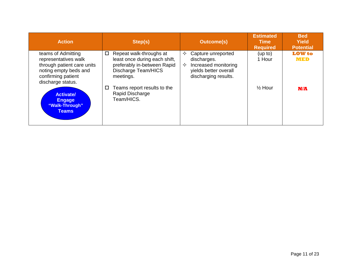| <b>Action</b>                                                                                                                                | Step(s)                                                                                                                                 | <b>Outcome(s)</b>                                                                                                    | <b>Estimated</b><br><b>Time</b><br><b>Required</b> | <b>Bed</b><br><b>Yield</b><br><b>Potential</b> |
|----------------------------------------------------------------------------------------------------------------------------------------------|-----------------------------------------------------------------------------------------------------------------------------------------|----------------------------------------------------------------------------------------------------------------------|----------------------------------------------------|------------------------------------------------|
| teams of Admitting<br>representatives walk<br>through patient care units<br>noting empty beds and<br>confirming patient<br>discharge status. | Repeat walk-throughs at<br>□<br>least once during each shift,<br>preferably in-between Rapid<br><b>Discharge Team/HICS</b><br>meetings. | Capture unreported<br>✧<br>discharges.<br>Increased monitoring<br>✧<br>yields better overall<br>discharging results. | (up to)<br>1 Hour                                  | <b>LOW</b> to<br><b>MED</b>                    |
| <b>Activate/</b><br><b>Engage</b><br>"Walk-Through"<br><b>Teams</b>                                                                          | Teams report results to the<br>□<br>Rapid Discharge<br>Team/HICS.                                                                       |                                                                                                                      | $\frac{1}{2}$ Hour                                 | N/A                                            |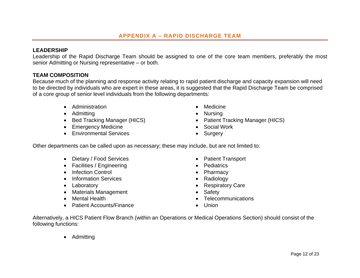#### **LEADERSHIP**

Leadership of the Rapid Discharge Team should be assigned to one of the core team members, preferably the most senior Admitting or Nursing representative – or both.

#### **TEAM COMPOSITION**

Because much of the planning and response activity relating to rapid patient discharge and capacity expansion will need to be directed by individuals who are expert in these areas, it is suggested that the Rapid Discharge Team be comprised of a core group of senior level individuals from the following departments:

- Administration **Medicine Medicine**
- Admitting **Contract Contract Contract Contract Contract Contract Contract Contract Contract Contract Contract Contract Contract Contract Contract Contract Contract Contract Contract Contract Contract Contract Contract Co**
- 
- Emergency Medicine **Social Work**
- Environmental Services **Surgery Surgery**
- 
- 
- Bed Tracking Manager (HICS) Patient Tracking Manager (HICS)
	-
	-

Other departments can be called upon as necessary; these may include, but are not limited to:

- Dietary / Food Services **Constant Properties** Patient Transport
- Facilities / Engineering **Construction** Pediatrics
- Infection Control **Canadian Control Pharmacy**
- Information Services **Contains a Container Container Container** Radiology
- 
- Materials Management  **Safety**
- 
- Patient Accounts/Finance Union
- 
- 
- 
- 
- Laboratory **Care Access 120 and 120 and 120 and 120 and 120 and 120 and 120 and 120 and 120 and 120 and 120 and 120 and 120 and 120 and 120 and 120 and 120 and 120 and 120 and 120 and 120 and 120 and 120 and 120 and 120** 
	-
- Mental Health **Telecommunications** 
	-

Alternatively, a HICS Patient Flow Branch (within an Operations or Medical Operations Section) should consist of the following functions:

• Admitting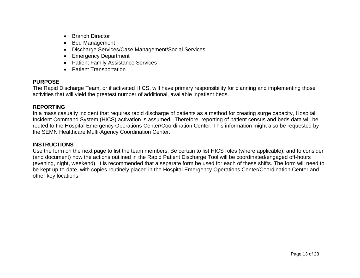- Branch Director
- Bed Management
- Discharge Services/Case Management/Social Services
- Emergency Department
- Patient Family Assistance Services
- Patient Transportation

#### **PURPOSE**

The Rapid Discharge Team, or if activated HICS, will have primary responsibility for planning and implementing those activities that will yield the greatest number of additional, available inpatient beds.

#### **REPORTING**

In a mass casualty incident that requires rapid discharge of patients as a method for creating surge capacity, Hospital Incident Command System (HICS) activation is assumed. Therefore, reporting of patient census and beds data will be routed to the Hospital Emergency Operations Center/Coordination Center. This information might also be requested by the SEMN Healthcare Multi-Agency Coordination Center.

#### **INSTRUCTIONS**

Use the form on the next page to list the team members. Be certain to list HICS roles (where applicable), and to consider (and document) how the actions outlined in the Rapid Patient Discharge Tool will be coordinated/engaged off-hours (evening, night, weekend). It is recommended that a separate form be used for each of these shifts. The form will need to be kept up-to-date, with copies routinely placed in the Hospital Emergency Operations Center/Coordination Center and other key locations.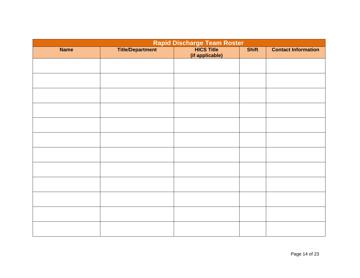|             | Rapid Discharge Team Roster |                                      |              |                            |  |  |  |  |  |
|-------------|-----------------------------|--------------------------------------|--------------|----------------------------|--|--|--|--|--|
| <b>Name</b> | <b>Title/Department</b>     | <b>HICS Title</b><br>(if applicable) | <b>Shift</b> | <b>Contact Information</b> |  |  |  |  |  |
|             |                             |                                      |              |                            |  |  |  |  |  |
|             |                             |                                      |              |                            |  |  |  |  |  |
|             |                             |                                      |              |                            |  |  |  |  |  |
|             |                             |                                      |              |                            |  |  |  |  |  |
|             |                             |                                      |              |                            |  |  |  |  |  |
|             |                             |                                      |              |                            |  |  |  |  |  |
|             |                             |                                      |              |                            |  |  |  |  |  |
|             |                             |                                      |              |                            |  |  |  |  |  |
|             |                             |                                      |              |                            |  |  |  |  |  |
|             |                             |                                      |              |                            |  |  |  |  |  |
|             |                             |                                      |              |                            |  |  |  |  |  |
|             |                             |                                      |              |                            |  |  |  |  |  |
|             |                             |                                      |              |                            |  |  |  |  |  |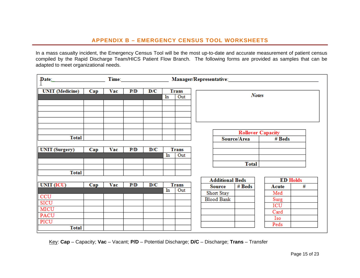In a mass casualty incident, the Emergency Census Tool will be the most up-to-date and accurate measurement of patient census compiled by the Rapid Discharge Team/HICS Patient Flow Branch. The following forms are provided as samples that can be adapted to meet organizational needs.

| $\mathbf{Date}_{\text{max}}$ |     |     |     |     |                           |                     | Manager/Representative: |                        |              |                          |                 |
|------------------------------|-----|-----|-----|-----|---------------------------|---------------------|-------------------------|------------------------|--------------|--------------------------|-----------------|
| <b>UNIT</b> (Medicine)       | Cap | Vac | P/D | D/C |                           | <b>Trans</b>        |                         |                        |              |                          |                 |
|                              |     |     |     |     | <b>Notes</b><br>In<br>Out |                     |                         |                        |              |                          |                 |
|                              |     |     |     |     |                           |                     |                         |                        |              |                          |                 |
|                              |     |     |     |     |                           |                     |                         |                        |              |                          |                 |
|                              |     |     |     |     |                           |                     |                         |                        |              |                          |                 |
|                              |     |     |     |     |                           |                     |                         |                        |              |                          |                 |
|                              |     |     |     |     |                           |                     |                         |                        |              |                          |                 |
|                              |     |     |     |     |                           |                     |                         |                        |              | <b>Rollover Capacity</b> |                 |
| <b>Total</b>                 |     |     |     |     |                           |                     |                         |                        | Source/Area  | # Beds                   |                 |
| <b>UNIT</b> (Surgery)        | Cap | Vac | P/D | D/C |                           | <b>Trans</b>        |                         |                        |              |                          |                 |
|                              |     |     |     |     | In                        | Out                 |                         |                        |              |                          |                 |
|                              |     |     |     |     |                           |                     |                         |                        | <b>Total</b> |                          |                 |
| <b>Total</b>                 |     |     |     |     |                           |                     |                         |                        |              |                          |                 |
|                              |     |     |     |     |                           |                     |                         |                        |              |                          |                 |
|                              |     |     | P/D | D/C |                           |                     |                         | <b>Additional Beds</b> |              |                          | <b>ED Holds</b> |
| UNIT (ICU)                   | Cap | Vac |     |     | In                        | <b>Trans</b><br>Out |                         | <b>Source</b>          | # Beds       | Acute                    | #               |
| CCU                          |     |     |     |     |                           |                     |                         | Short Stay             |              | Med                      |                 |
|                              |     |     |     |     |                           |                     |                         | <b>Blood Bank</b>      |              | Surg                     |                 |
| <b>SICU</b>                  |     |     |     |     |                           |                     |                         |                        |              | ICU                      |                 |
| MICU                         |     |     |     |     |                           |                     |                         |                        |              | Card                     |                 |
| <b>PACU</b>                  |     |     |     |     |                           |                     |                         |                        |              | Iso                      |                 |
| PICU                         |     |     |     |     |                           |                     |                         |                        |              | Peds                     |                 |
| Total                        |     |     |     |     |                           |                     |                         |                        |              |                          |                 |

Key: **Cap** – Capacity; **Vac** – Vacant; **P/D** – Potential Discharge; **D/C** – Discharge; **Trans** – Transfer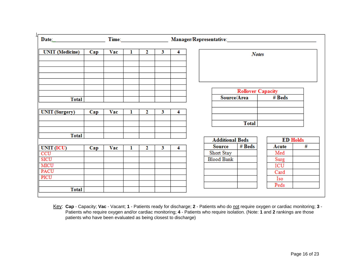| $Date_{\text{max}}$                                       |     |     |   |   |   |   | Time: Manager/Representative: |                          |                 |   |
|-----------------------------------------------------------|-----|-----|---|---|---|---|-------------------------------|--------------------------|-----------------|---|
| <b>UNIT</b> (Medicine)<br>Vac<br>1<br>$\mathbf{2}$<br>Cap |     |     |   |   |   | 4 |                               | <b>Notes</b>             |                 |   |
|                                                           |     |     |   |   |   |   |                               |                          |                 |   |
|                                                           |     |     |   |   |   |   |                               |                          |                 |   |
|                                                           |     |     |   |   |   |   |                               |                          |                 |   |
|                                                           |     |     |   |   |   |   |                               |                          |                 |   |
|                                                           |     |     |   |   |   |   |                               | <b>Rollover Capacity</b> |                 |   |
| <b>Total</b>                                              |     |     |   |   |   |   | Source/Area                   |                          | # Beds          |   |
|                                                           |     |     |   |   |   |   |                               |                          |                 |   |
| <b>UNIT</b> (Surgery)                                     | Cap | Vac | ı | 2 | 3 | 4 |                               |                          |                 |   |
|                                                           |     |     |   |   |   |   |                               | <b>Total</b>             |                 |   |
|                                                           |     |     |   |   |   |   |                               |                          |                 |   |
| <b>Total</b>                                              |     |     |   |   |   |   |                               |                          |                 |   |
|                                                           |     |     |   |   |   |   | <b>Additional Beds</b>        |                          | <b>ED Holds</b> |   |
| UNIT (ICU)                                                | Cap | Vac | ı | 2 | 3 | 4 | <b>Source</b>                 | # Beds                   | Acute           | # |
| CCU                                                       |     |     |   |   |   |   | Short Stay                    |                          | Med             |   |
| SICU                                                      |     |     |   |   |   |   | <b>Blood Bank</b>             |                          | Surg            |   |
| MICU                                                      |     |     |   |   |   |   |                               |                          | ICU             |   |
| PACU                                                      |     |     |   |   |   |   |                               |                          | Card            |   |
| PICU                                                      |     |     |   |   |   |   |                               |                          | Iso             |   |
|                                                           |     |     |   |   |   |   |                               |                          | Peds            |   |
| <b>Total</b>                                              |     |     |   |   |   |   |                               |                          |                 |   |

Key: **Cap** - Capacity; **Vac** - Vacant; **<sup>1</sup>** - Patients ready for discharge; **<sup>2</sup>** - Patients who do not require oxygen or cardiac monitoring; **3** - Patients who require oxygen and/or cardiac monitoring; **4** - Patients who require isolation. (Note: **1** and **2** rankings are those patients who have been evaluated as being closest to discharge)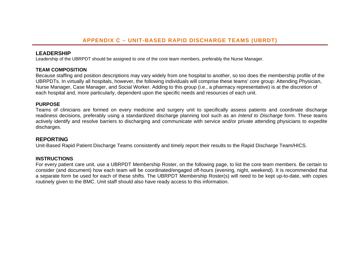#### **LEADERSHIP**

Leadership of the UBRPDT should be assigned to one of the core team members, preferably the Nurse Manager.

#### **TEAM COMPOSITION**

Because staffing and position descriptions may vary widely from one hospital to another, so too does the membership profile of the UBRPDTs. In virtually all hospitals, however, the following individuals will comprise these teams' core group: Attending Physician, Nurse Manager, Case Manager, and Social Worker. Adding to this group (i.e., a pharmacy representative) is at the discretion of each hospital and, more particularly, dependent upon the specific needs and resources of each unit.

#### **PURPOSE**

Teams of clinicians are formed on every medicine and surgery unit to specifically assess patients and coordinate discharge readiness decisions, preferably using a standardized discharge planning tool such as an *Intend to Discharge* form. These teams actively identify and resolve barriers to discharging and communicate with service and/or private attending physicians to expedite discharges.

#### **REPORTING**

Unit-Based Rapid Patient Discharge Teams consistently and timely report their results to the Rapid Discharge Team/HICS.

#### **INSTRUCTIONS**

For every patient care unit, use a UBRPDT Membership Roster, on the following page, to list the core team members. Be certain to consider (and document) how each team will be coordinated/engaged off-hours (evening, night, weekend). It is recommended that a separate form be used for each of these shifts. The UBRPDT Membership Roster(s) will need to be kept up-to-date, with copies routinely given to the BMC. Unit staff should also have ready access to this information.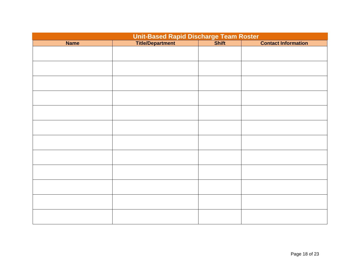| Unit-Based Rapid Discharge Team Roster<br>Title/Department Shift Shift |  |  |                            |  |  |  |  |  |
|------------------------------------------------------------------------|--|--|----------------------------|--|--|--|--|--|
| <b>Name</b>                                                            |  |  | <b>Contact Information</b> |  |  |  |  |  |
|                                                                        |  |  |                            |  |  |  |  |  |
|                                                                        |  |  |                            |  |  |  |  |  |
|                                                                        |  |  |                            |  |  |  |  |  |
|                                                                        |  |  |                            |  |  |  |  |  |
|                                                                        |  |  |                            |  |  |  |  |  |
|                                                                        |  |  |                            |  |  |  |  |  |
|                                                                        |  |  |                            |  |  |  |  |  |
|                                                                        |  |  |                            |  |  |  |  |  |
|                                                                        |  |  |                            |  |  |  |  |  |
|                                                                        |  |  |                            |  |  |  |  |  |
|                                                                        |  |  |                            |  |  |  |  |  |
|                                                                        |  |  |                            |  |  |  |  |  |
|                                                                        |  |  |                            |  |  |  |  |  |
|                                                                        |  |  |                            |  |  |  |  |  |
|                                                                        |  |  |                            |  |  |  |  |  |
|                                                                        |  |  |                            |  |  |  |  |  |
|                                                                        |  |  |                            |  |  |  |  |  |
|                                                                        |  |  |                            |  |  |  |  |  |
|                                                                        |  |  |                            |  |  |  |  |  |
|                                                                        |  |  |                            |  |  |  |  |  |
|                                                                        |  |  |                            |  |  |  |  |  |
|                                                                        |  |  |                            |  |  |  |  |  |
|                                                                        |  |  |                            |  |  |  |  |  |
|                                                                        |  |  |                            |  |  |  |  |  |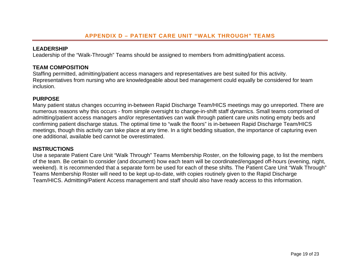#### **LEADERSHIP**

Leadership of the "Walk-Through" Teams should be assigned to members from admitting/patient access.

#### **TEAM COMPOSITION**

Staffing permitted, admitting/patient access managers and representatives are best suited for this activity. Representatives from nursing who are knowledgeable about bed management could equally be considered for team inclusion.

#### **PURPOSE**

Many patient status changes occurring in-between Rapid Discharge Team/HICS meetings may go unreported. There are numerous reasons why this occurs - from simple oversight to change-in-shift staff dynamics. Small teams comprised of admitting/patient access managers and/or representatives can walk through patient care units noting empty beds and confirming patient discharge status. The optimal time to "walk the floors" is in-between Rapid Discharge Team/HICS meetings, though this activity can take place at any time. In a tight bedding situation, the importance of capturing even one additional, available bed cannot be overestimated.

#### **INSTRUCTIONS**

Use a separate Patient Care Unit "Walk Through" Teams Membership Roster, on the following page, to list the members of the team. Be certain to consider (and document) how each team will be coordinated/engaged off-hours (evening, night, weekend). It is recommended that a separate form be used for each of these shifts. The Patient Care Unit "Walk Through" Teams Membership Roster will need to be kept up-to-date, with copies routinely given to the Rapid Discharge Team/HICS. Admitting/Patient Access management and staff should also have ready access to this information.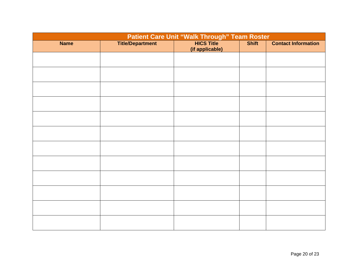| <b>Patient Care Unit "Walk Through" Team Roster</b> |                         |                                      |              |                            |  |  |  |  |  |
|-----------------------------------------------------|-------------------------|--------------------------------------|--------------|----------------------------|--|--|--|--|--|
| <b>Name</b>                                         | <b>Title/Department</b> | <b>HICS Title</b><br>(if applicable) | <b>Shift</b> | <b>Contact Information</b> |  |  |  |  |  |
|                                                     |                         |                                      |              |                            |  |  |  |  |  |
|                                                     |                         |                                      |              |                            |  |  |  |  |  |
|                                                     |                         |                                      |              |                            |  |  |  |  |  |
|                                                     |                         |                                      |              |                            |  |  |  |  |  |
|                                                     |                         |                                      |              |                            |  |  |  |  |  |
|                                                     |                         |                                      |              |                            |  |  |  |  |  |
|                                                     |                         |                                      |              |                            |  |  |  |  |  |
|                                                     |                         |                                      |              |                            |  |  |  |  |  |
|                                                     |                         |                                      |              |                            |  |  |  |  |  |
|                                                     |                         |                                      |              |                            |  |  |  |  |  |
|                                                     |                         |                                      |              |                            |  |  |  |  |  |
|                                                     |                         |                                      |              |                            |  |  |  |  |  |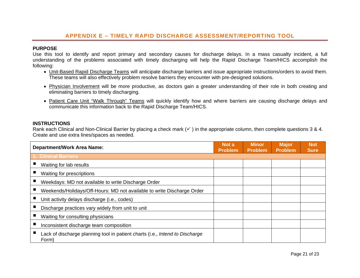#### **APPENDIX E – TIMELY RAPID DISCHARGE ASSESSMENT/REPORTING TOOL**

#### **PURPOSE**

Use this tool to identify and report primary and secondary causes for discharge delays. In a mass casualty incident, a full understanding of the problems associated with timely discharging will help the Rapid Discharge Team/HICS accomplish the following:

- Unit-Based Rapid Discharge Teams will anticipate discharge barriers and issue appropriate instructions/orders to avoid them. These teams will also effectively problem resolve barriers they encounter with pre-designed solutions.
- Physician Involvement will be more productive, as doctors gain a greater understanding of their role in both creating and eliminating barriers to timely discharging.
- Patient Care Unit "Walk Through" Teams will quickly identify how and where barriers are causing discharge delays and communicate this information back to the Rapid Discharge Team/HICS.

#### **INSTRUCTIONS**

Rank each Clinical and Non-Clinical Barrier by placing a check mark  $(\checkmark)$  in the appropriate column, then complete questions 3 & 4. Create and use extra lines/spaces as needed.

| <b>Department/Work Area Name:</b>                                                     | Not a<br><b>Problem</b> | <b>Minor</b><br><b>Problem</b> | <b>Major</b><br><b>Problem</b> | <b>Not</b><br><b>Sure</b> |
|---------------------------------------------------------------------------------------|-------------------------|--------------------------------|--------------------------------|---------------------------|
| <b>1. Clinical Barriers</b>                                                           |                         |                                |                                |                           |
| Waiting for lab results                                                               |                         |                                |                                |                           |
| Waiting for prescriptions                                                             |                         |                                |                                |                           |
| Weekdays: MD not available to write Discharge Order                                   |                         |                                |                                |                           |
| Weekends/Holidays/Off-Hours: MD not available to write Discharge Order                |                         |                                |                                |                           |
| Unit activity delays discharge (i.e., codes)                                          |                         |                                |                                |                           |
| Discharge practices vary widely from unit to unit                                     |                         |                                |                                |                           |
| Waiting for consulting physicians                                                     |                         |                                |                                |                           |
| Inconsistent discharge team composition                                               |                         |                                |                                |                           |
| Lack of discharge planning tool in patient charts (i.e., Intend to Discharge<br>Form) |                         |                                |                                |                           |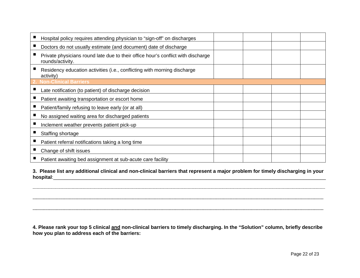| Hospital policy requires attending physician to "sign-off" on discharges                             |  |  |
|------------------------------------------------------------------------------------------------------|--|--|
| Doctors do not usually estimate (and document) date of discharge                                     |  |  |
| Private physicians round late due to their office hour's conflict with discharge<br>rounds/activity. |  |  |
| Residency education activities (i.e., conflicting with morning discharge<br>activity)                |  |  |
| 2. Non-Clinical Barriers                                                                             |  |  |
| Late notification (to patient) of discharge decision                                                 |  |  |
| Patient awaiting transportation or escort home                                                       |  |  |
| Patient/family refusing to leave early (or at all)                                                   |  |  |
| No assigned waiting area for discharged patients                                                     |  |  |
| Inclement weather prevents patient pick-up                                                           |  |  |
| Staffing shortage                                                                                    |  |  |
| Patient referral notifications taking a long time                                                    |  |  |
| Change of shift issues                                                                               |  |  |
| Patient awaiting bed assignment at sub-acute care facility                                           |  |  |

**3. Please list any additional clinical and non-clinical barriers that represent a major problem for timely discharging in your hospital**:\_\_\_\_\_\_\_\_\_\_\_\_\_\_\_\_\_\_\_\_\_\_\_\_\_\_\_\_\_\_\_\_\_\_\_\_\_\_\_\_\_\_\_\_\_\_\_\_\_\_\_\_\_\_\_\_\_\_\_\_\_\_\_\_\_\_\_\_\_\_\_\_\_\_\_\_\_\_\_\_\_\_\_\_\_\_\_\_\_\_\_\_\_\_\_\_\_\_

\_\_\_\_\_\_\_\_\_\_\_\_\_\_\_\_\_\_\_\_\_\_\_\_\_\_\_\_\_\_\_\_\_\_\_\_\_\_\_\_\_\_\_\_\_\_\_\_\_\_\_\_\_\_\_\_\_\_\_\_\_\_\_\_\_\_\_\_\_\_\_\_\_\_\_\_\_\_\_\_\_\_\_\_\_\_\_\_\_\_\_\_\_\_\_\_\_\_\_\_\_\_\_\_\_\_\_\_\_\_\_\_\_\_\_\_\_\_\_\_\_\_\_\_\_\_\_\_\_\_\_\_\_\_\_\_\_\_\_\_\_\_\_\_\_\_\_\_\_\_\_\_\_\_\_\_\_\_\_\_\_\_\_\_\_\_\_\_\_\_\_\_\_\_\_\_\_\_\_\_\_\_\_\_\_\_\_\_\_\_\_\_\_\_\_\_\_\_\_\_\_\_\_\_\_\_\_\_\_\_\_\_\_\_\_\_\_ 

\_\_\_\_\_\_\_\_\_\_\_\_\_\_\_\_\_\_\_\_\_\_\_\_\_\_\_\_\_\_\_\_\_\_\_\_\_\_\_\_\_\_\_\_\_\_\_\_\_\_\_\_\_\_\_\_\_\_\_\_\_\_\_\_\_\_\_\_\_\_\_\_\_\_\_\_\_\_\_\_\_\_\_\_\_\_\_\_\_\_\_\_\_\_\_\_\_\_\_\_\_\_\_\_\_\_\_\_\_\_\_\_\_\_\_\_\_\_\_\_\_\_\_\_\_\_\_\_\_\_\_\_\_\_\_\_\_\_\_\_\_\_\_\_\_\_\_\_\_\_\_\_\_\_\_\_\_ 

\_\_\_\_\_\_\_\_\_\_\_\_\_\_\_\_\_\_\_\_\_\_\_\_\_\_\_\_\_\_\_\_\_\_\_\_\_\_\_\_\_\_\_\_\_\_\_\_\_\_\_\_\_\_\_\_\_\_\_\_\_\_\_\_\_\_\_\_\_\_\_\_\_\_\_\_\_\_\_\_\_\_\_\_\_\_\_\_\_\_\_\_\_\_\_\_\_\_\_\_\_\_\_\_\_\_\_\_\_\_\_\_\_\_\_\_\_\_\_\_\_\_\_\_\_\_\_\_\_\_\_\_\_\_\_\_\_\_\_\_\_\_\_\_\_\_\_\_\_\_\_\_\_\_\_\_\_ 

**4. Please rank your top 5 clinical and non-clinical barriers to timely discharging. In the "Solution" column, briefly describe how you plan to address each of the barriers:**